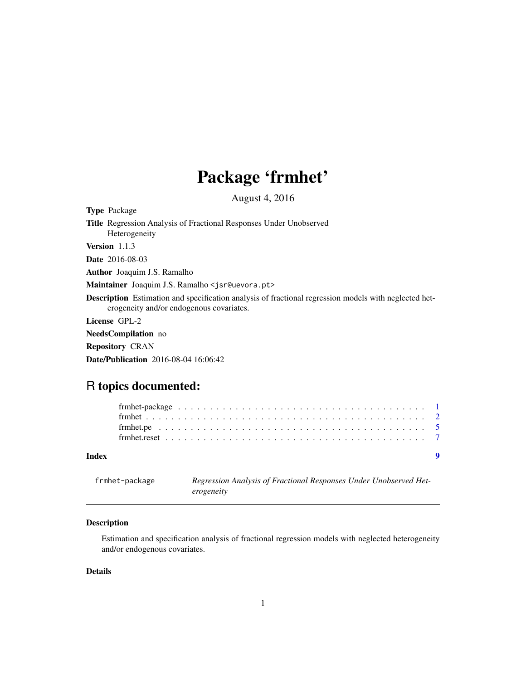# Package 'frmhet'

August 4, 2016

<span id="page-0-1"></span><span id="page-0-0"></span>Type Package Title Regression Analysis of Fractional Responses Under Unobserved Heterogeneity Version 1.1.3 Date 2016-08-03 Author Joaquim J.S. Ramalho Maintainer Joaquim J.S. Ramalho <jsr@uevora.pt> Description Estimation and specification analysis of fractional regression models with neglected heterogeneity and/or endogenous covariates. License GPL-2 NeedsCompilation no Repository CRAN

Date/Publication 2016-08-04 16:06:42

## R topics documented:

| Index |  |  |  |  |  |  |  |  |  |  |  |  |  |  |  |  |  |  |  |
|-------|--|--|--|--|--|--|--|--|--|--|--|--|--|--|--|--|--|--|--|
|       |  |  |  |  |  |  |  |  |  |  |  |  |  |  |  |  |  |  |  |
|       |  |  |  |  |  |  |  |  |  |  |  |  |  |  |  |  |  |  |  |
|       |  |  |  |  |  |  |  |  |  |  |  |  |  |  |  |  |  |  |  |

| frmhet-package | Regression Analysis of Fractional Responses Under Unobserved Het- |
|----------------|-------------------------------------------------------------------|
|                | erogeneity                                                        |

#### Description

Estimation and specification analysis of fractional regression models with neglected heterogeneity and/or endogenous covariates.

#### Details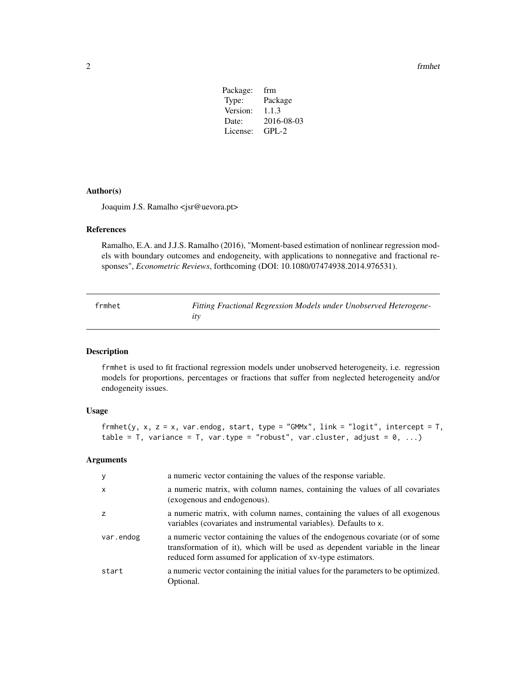<span id="page-1-0"></span>2 frmhet

| Package: | frm        |
|----------|------------|
| Type:    | Package    |
| Version: | 1.1.3      |
| Date:    | 2016-08-03 |
| License: | $GPI - 2$  |
|          |            |

#### Author(s)

Joaquim J.S. Ramalho <jsr@uevora.pt>

#### References

Ramalho, E.A. and J.J.S. Ramalho (2016), "Moment-based estimation of nonlinear regression models with boundary outcomes and endogeneity, with applications to nonnegative and fractional responses", *Econometric Reviews*, forthcoming (DOI: 10.1080/07474938.2014.976531).

<span id="page-1-1"></span>frmhet *Fitting Fractional Regression Models under Unobserved Heterogeneity*

#### Description

frmhet is used to fit fractional regression models under unobserved heterogeneity, i.e. regression models for proportions, percentages or fractions that suffer from neglected heterogeneity and/or endogeneity issues.

#### Usage

```
frmhet(y, x, z = x, var.endog, start, type = "GMMx", link = "logit", intercept = T,
table = T, variance = T, var.type = "robust", var.cluster, adjust = 0, ...)
```
#### Arguments

| y            | a numeric vector containing the values of the response variable.                                                                                                                                                               |
|--------------|--------------------------------------------------------------------------------------------------------------------------------------------------------------------------------------------------------------------------------|
| $\mathsf{x}$ | a numeric matrix, with column names, containing the values of all covariates<br>(exogenous and endogenous).                                                                                                                    |
| z            | a numeric matrix, with column names, containing the values of all exogenous<br>variables (covariates and instrumental variables). Defaults to x.                                                                               |
| var.endog    | a numeric vector containing the values of the endogenous covariate (or of some<br>transformation of it), which will be used as dependent variable in the linear<br>reduced form assumed for application of xv-type estimators. |
| start        | a numeric vector containing the initial values for the parameters to be optimized.<br>Optional.                                                                                                                                |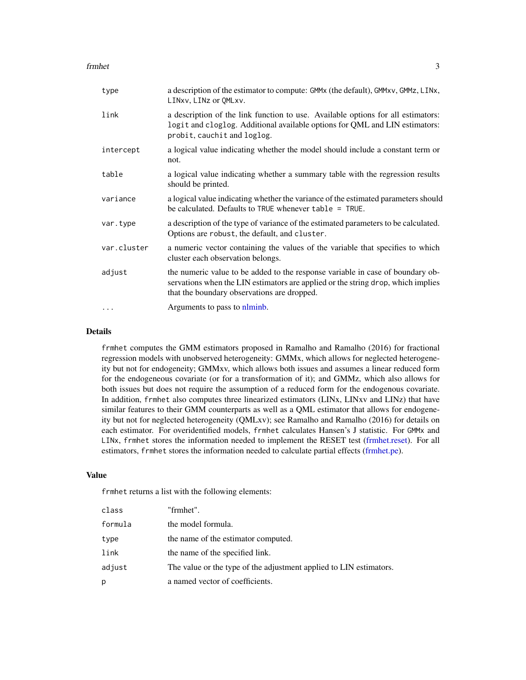#### <span id="page-2-0"></span>frmhet 3

| type        | a description of the estimator to compute: GMMx (the default), GMMxv, GMMz, LINx,<br>LINXV, LINZ or OMLXV.                                                                                                        |
|-------------|-------------------------------------------------------------------------------------------------------------------------------------------------------------------------------------------------------------------|
| link        | a description of the link function to use. Available options for all estimators:<br>logit and cloglog. Additional available options for QML and LIN estimators:<br>probit, cauchit and loglog.                    |
| intercept   | a logical value indicating whether the model should include a constant term or<br>not.                                                                                                                            |
| table       | a logical value indicating whether a summary table with the regression results<br>should be printed.                                                                                                              |
| variance    | a logical value indicating whether the variance of the estimated parameters should<br>be calculated. Defaults to TRUE whenever $table = TRUE$ .                                                                   |
| var.type    | a description of the type of variance of the estimated parameters to be calculated.<br>Options are robust, the default, and cluster.                                                                              |
| var.cluster | a numeric vector containing the values of the variable that specifies to which<br>cluster each observation belongs.                                                                                               |
| adjust      | the numeric value to be added to the response variable in case of boundary ob-<br>servations when the LIN estimators are applied or the string drop, which implies<br>that the boundary observations are dropped. |
| $\ddotsc$   | Arguments to pass to nlminb.                                                                                                                                                                                      |

#### Details

frmhet computes the GMM estimators proposed in Ramalho and Ramalho (2016) for fractional regression models with unobserved heterogeneity: GMMx, which allows for neglected heterogeneity but not for endogeneity; GMMxv, which allows both issues and assumes a linear reduced form for the endogeneous covariate (or for a transformation of it); and GMMz, which also allows for both issues but does not require the assumption of a reduced form for the endogenous covariate. In addition, frmhet also computes three linearized estimators (LINx, LINxv and LINz) that have similar features to their GMM counterparts as well as a QML estimator that allows for endogeneity but not for neglected heterogeneity (QMLxv); see Ramalho and Ramalho (2016) for details on each estimator. For overidentified models, frmhet calculates Hansen's J statistic. For GMMx and LINx, frmhet stores the information needed to implement the RESET test [\(frmhet.reset\)](#page-6-1). For all estimators, frmhet stores the information needed to calculate partial effects [\(frmhet.pe\)](#page-4-1).

#### Value

frmhet returns a list with the following elements:

| class   | "frmhet".                                                          |
|---------|--------------------------------------------------------------------|
| formula | the model formula.                                                 |
| type    | the name of the estimator computed.                                |
| link    | the name of the specified link.                                    |
| adjust  | The value or the type of the adjustment applied to LIN estimators. |
| р       | a named vector of coefficients.                                    |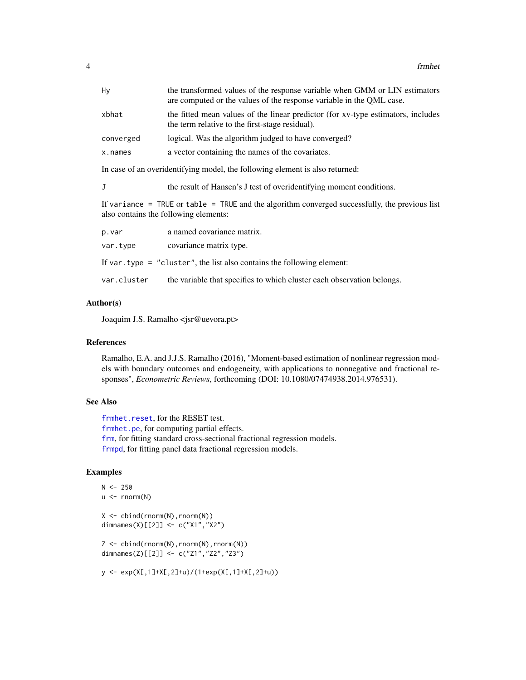<span id="page-3-0"></span>

| Hy          | the transformed values of the response variable when GMM or LIN estimators<br>are computed or the values of the response variable in the QML case. |
|-------------|----------------------------------------------------------------------------------------------------------------------------------------------------|
| xbhat       | the fitted mean values of the linear predictor (for xv-type estimators, includes<br>the term relative to the first-stage residual).                |
| converged   | logical. Was the algorithm judged to have converged?                                                                                               |
| x.names     | a vector containing the names of the covariates.                                                                                                   |
|             | In case of an overidentifying model, the following element is also returned:                                                                       |
| J           | the result of Hansen's J test of overidentifying moment conditions.                                                                                |
|             | If variance = TRUE or table = TRUE and the algorithm converged successfully, the previous list<br>also contains the following elements:            |
| p.var       | a named covariance matrix.                                                                                                                         |
| var.type    | covariance matrix type.                                                                                                                            |
|             | If var. type = $"cluster",$ the list also contains the following element:                                                                          |
| var.cluster | the variable that specifies to which cluster each observation belongs.                                                                             |

#### Author(s)

Joaquim J.S. Ramalho <jsr@uevora.pt>

#### References

Ramalho, E.A. and J.J.S. Ramalho (2016), "Moment-based estimation of nonlinear regression models with boundary outcomes and endogeneity, with applications to nonnegative and fractional responses", *Econometric Reviews*, forthcoming (DOI: 10.1080/07474938.2014.976531).

### See Also

[frmhet.reset](#page-6-1), for the RESET test. [frmhet.pe](#page-4-1), for computing partial effects. [frm](#page-0-1), for fitting standard cross-sectional fractional regression models. [frmpd](#page-0-1), for fitting panel data fractional regression models.

#### Examples

```
N < -250u <- rnorm(N)
X \leftarrow \text{cbind}(\text{rnorm}(N), \text{rnorm}(N))dimnames(X)[[2]] <- c("X1","X2")
Z \le - \text{cbind}(\text{rnorm}(N), \text{rnorm}(N), \text{rnorm}(N))dimnames(Z)[[2]] <- c("Z1","Z2","Z3")
y <- exp(X[,1]+X[,2]+u)/(1+exp(X[,1]+X[,2]+u))
```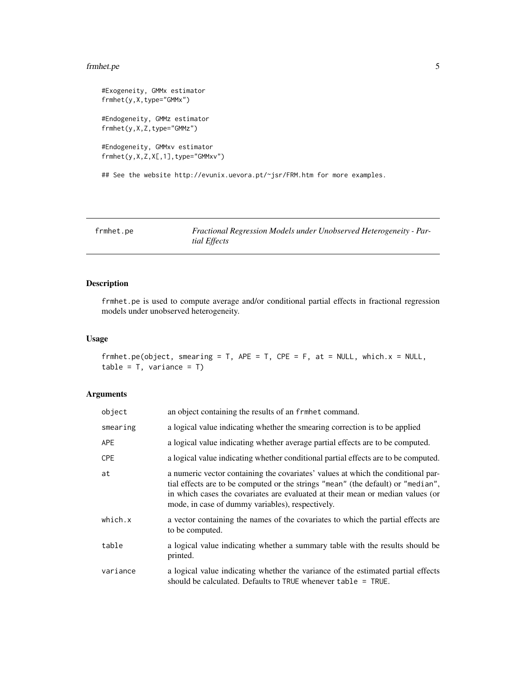#### <span id="page-4-0"></span>frmhet.pe 5

```
#Exogeneity, GMMx estimator
frmhet(y,X,type="GMMx")
#Endogeneity, GMMz estimator
frmhet(y,X,Z,type="GMMz")
#Endogeneity, GMMxv estimator
frmhet(y,X,Z,X[,1],type="GMMxv")
## See the website http://evunix.uevora.pt/~jsr/FRM.htm for more examples.
```
<span id="page-4-1"></span>frmhet.pe *Fractional Regression Models under Unobserved Heterogeneity - Partial Effects*

#### Description

frmhet.pe is used to compute average and/or conditional partial effects in fractional regression models under unobserved heterogeneity.

#### Usage

```
frmhet.pe(object, smearing = T, APE = T, CPE = F, at = NULL, which.x = NULL,
table = T, variance = T)
```
#### Arguments

| object   | an object containing the results of an frmhet command.                                                                                                                                                                                                                                                     |
|----------|------------------------------------------------------------------------------------------------------------------------------------------------------------------------------------------------------------------------------------------------------------------------------------------------------------|
| smearing | a logical value indicating whether the smearing correction is to be applied                                                                                                                                                                                                                                |
| APE.     | a logical value indicating whether average partial effects are to be computed.                                                                                                                                                                                                                             |
| CPE      | a logical value indicating whether conditional partial effects are to be computed.                                                                                                                                                                                                                         |
| at       | a numeric vector containing the covariates' values at which the conditional par-<br>tial effects are to be computed or the strings "mean" (the default) or "median",<br>in which cases the covariates are evaluated at their mean or median values (or<br>mode, in case of dummy variables), respectively. |
| which.x  | a vector containing the names of the covariates to which the partial effects are<br>to be computed.                                                                                                                                                                                                        |
| table    | a logical value indicating whether a summary table with the results should be<br>printed.                                                                                                                                                                                                                  |
| variance | a logical value indicating whether the variance of the estimated partial effects<br>should be calculated. Defaults to TRUE whenever $table = TRUE$ .                                                                                                                                                       |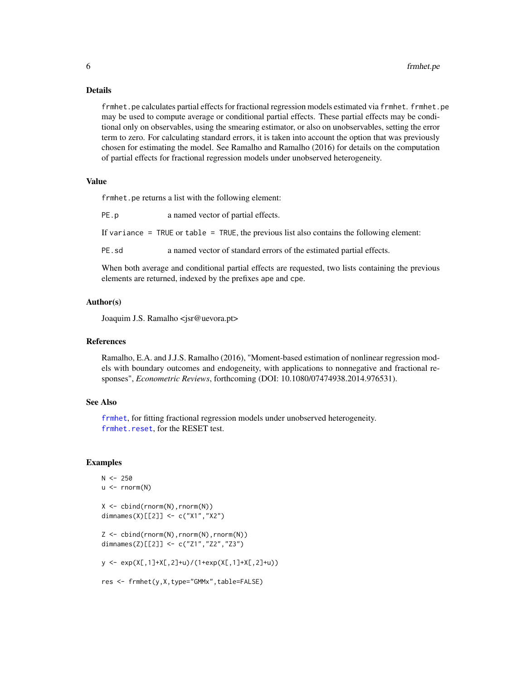#### Details

frmhet.pe calculates partial effects for fractional regression models estimated via frmhet. frmhet.pe may be used to compute average or conditional partial effects. These partial effects may be conditional only on observables, using the smearing estimator, or also on unobservables, setting the error term to zero. For calculating standard errors, it is taken into account the option that was previously chosen for estimating the model. See Ramalho and Ramalho (2016) for details on the computation of partial effects for fractional regression models under unobserved heterogeneity.

#### Value

frmhet.pe returns a list with the following element:

PE.p a named vector of partial effects. If variance  $=$  TRUE or table  $=$  TRUE, the previous list also contains the following element: PE. sd a named vector of standard errors of the estimated partial effects.

When both average and conditional partial effects are requested, two lists containing the previous elements are returned, indexed by the prefixes ape and cpe.

#### Author(s)

Joaquim J.S. Ramalho <jsr@uevora.pt>

#### References

Ramalho, E.A. and J.J.S. Ramalho (2016), "Moment-based estimation of nonlinear regression models with boundary outcomes and endogeneity, with applications to nonnegative and fractional responses", *Econometric Reviews*, forthcoming (DOI: 10.1080/07474938.2014.976531).

#### See Also

[frmhet](#page-1-1), for fitting fractional regression models under unobserved heterogeneity. [frmhet.reset](#page-6-1), for the RESET test.

#### Examples

```
N < -250u \le - rnorm(N)X \leftarrow \text{cbind}(rnorm(N), rnorm(N))dimnames(X)[[2]] <- c("X1","X2")
Z <- cbind(rnorm(N),rnorm(N),rnorm(N))
dimnames(Z)[[2]] <- c("Z1","Z2","Z3")
y <- exp(X[,1]+X[,2]+u)/(1+exp(X[,1]+X[,2]+u))
res <- frmhet(y,X,type="GMMx",table=FALSE)
```
<span id="page-5-0"></span>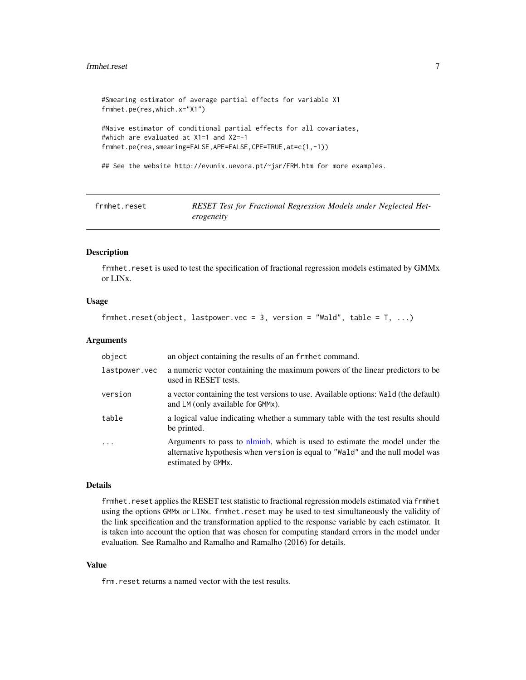#### <span id="page-6-0"></span>frmhet.reset 7

```
#Smearing estimator of average partial effects for variable X1
frmhet.pe(res,which.x="X1")
#Naive estimator of conditional partial effects for all covariates,
#which are evaluated at X1=1 and X2=-1
frmhet.pe(res,smearing=FALSE,APE=FALSE,CPE=TRUE,at=c(1,-1))
## See the website http://evunix.uevora.pt/~jsr/FRM.htm for more examples.
```
<span id="page-6-1"></span>

| frmhet.reset | RESET Test for Fractional Regression Models under Neglected Het- |
|--------------|------------------------------------------------------------------|
|              | erogeneity                                                       |

#### Description

frmhet.reset is used to test the specification of fractional regression models estimated by GMMx or LINx.

#### Usage

```
frmhet.reset(object, lastpower.vec = 3, version = "Wald", table = T, ...)
```
#### Arguments

| object        | an object containing the results of an frmhet command.                                                                                                                                           |
|---------------|--------------------------------------------------------------------------------------------------------------------------------------------------------------------------------------------------|
| lastpower.vec | a numeric vector containing the maximum powers of the linear predictors to be<br>used in RESET tests.                                                                                            |
| version       | a vector containing the test versions to use. Available options: Wald (the default)<br>and LM (only available for GMMx).                                                                         |
| table         | a logical value indicating whether a summary table with the test results should<br>be printed.                                                                                                   |
| $\ddots$ .    | Arguments to pass to nominion, which is used to estimate the model under the<br>alternative hypothesis when version is equal to "Wald" and the null model was<br>estimated by GMM <sub>x</sub> . |

#### Details

frmhet.reset applies the RESET test statistic to fractional regression models estimated via frmhet using the options GMMx or LINx. frmhet.reset may be used to test simultaneously the validity of the link specification and the transformation applied to the response variable by each estimator. It is taken into account the option that was chosen for computing standard errors in the model under evaluation. See Ramalho and Ramalho and Ramalho (2016) for details.

#### Value

frm.reset returns a named vector with the test results.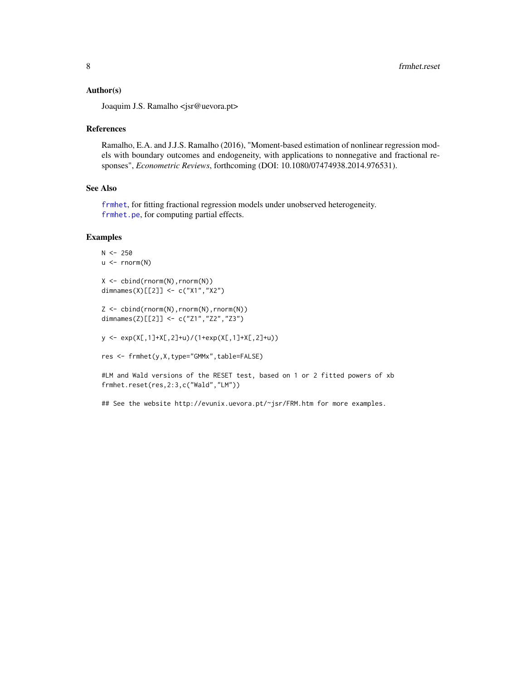#### <span id="page-7-0"></span>Author(s)

Joaquim J.S. Ramalho <jsr@uevora.pt>

#### References

Ramalho, E.A. and J.J.S. Ramalho (2016), "Moment-based estimation of nonlinear regression models with boundary outcomes and endogeneity, with applications to nonnegative and fractional responses", *Econometric Reviews*, forthcoming (DOI: 10.1080/07474938.2014.976531).

#### See Also

[frmhet](#page-1-1), for fitting fractional regression models under unobserved heterogeneity. [frmhet.pe](#page-4-1), for computing partial effects.

#### Examples

```
N < -250u \leftarrow \text{norm}(N)X \leftarrow \text{cbind}(\text{rnorm}(N), \text{rnorm}(N))dimnames(X)[[2]] <- c("X1","X2")
Z <- cbind(rnorm(N),rnorm(N),rnorm(N))
```
dimnames(Z)[[2]] <- c("Z1","Z2","Z3")

y <- exp(X[,1]+X[,2]+u)/(1+exp(X[,1]+X[,2]+u))

```
res <- frmhet(y,X,type="GMMx",table=FALSE)
```
#LM and Wald versions of the RESET test, based on 1 or 2 fitted powers of xb frmhet.reset(res,2:3,c("Wald","LM"))

## See the website http://evunix.uevora.pt/~jsr/FRM.htm for more examples.